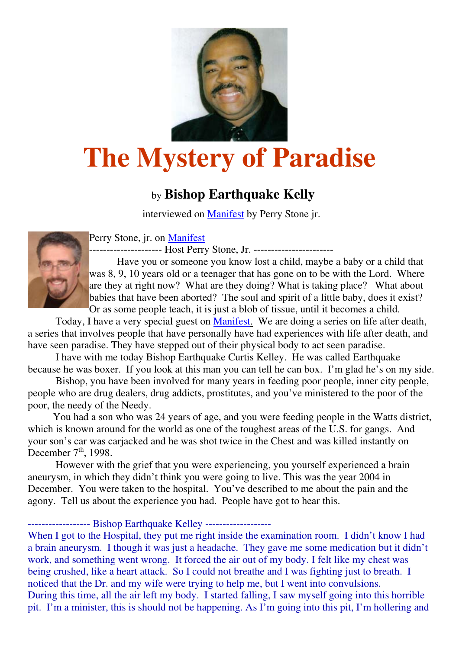

## **The Mystery of Paradise**

## by **Bishop Earthquake Kelly**

interviewed on Manifest by Perry Stone jr.



Perry Stone, jr. on Manifest

--------------------- Host Perry Stone, Jr. -----------------------

 Have you or someone you know lost a child, maybe a baby or a child that was 8, 9, 10 years old or a teenager that has gone on to be with the Lord. Where are they at right now? What are they doing? What is taking place? What about babies that have been aborted? The soul and spirit of a little baby, does it exist? Or as some people teach, it is just a blob of tissue, until it becomes a child.

 Today, I have a very special guest on Manifest. We are doing a series on life after death, a series that involves people that have personally have had experiences with life after death, and have seen paradise. They have stepped out of their physical body to act seen paradise.

 I have with me today Bishop Earthquake Curtis Kelley. He was called Earthquake because he was boxer. If you look at this man you can tell he can box. I'm glad he's on my side.

 Bishop, you have been involved for many years in feeding poor people, inner city people, people who are drug dealers, drug addicts, prostitutes, and you've ministered to the poor of the poor, the needy of the Needy.

 You had a son who was 24 years of age, and you were feeding people in the Watts district, which is known around for the world as one of the toughest areas of the U.S. for gangs. And your son's car was carjacked and he was shot twice in the Chest and was killed instantly on December  $7<sup>th</sup>$ , 1998.

 However with the grief that you were experiencing, you yourself experienced a brain aneurysm, in which they didn't think you were going to live. This was the year 2004 in December. You were taken to the hospital. You've described to me about the pain and the agony. Tell us about the experience you had. People have got to hear this.

------------------ Bishop Earthquake Kelley -------------------

When I got to the Hospital, they put me right inside the examination room. I didn't know I had a brain aneurysm. I though it was just a headache. They gave me some medication but it didn't work, and something went wrong. It forced the air out of my body. I felt like my chest was being crushed, like a heart attack. So I could not breathe and I was fighting just to breath. I noticed that the Dr. and my wife were trying to help me, but I went into convulsions. During this time, all the air left my body. I started falling, I saw myself going into this horrible pit. I'm a minister, this is should not be happening. As I'm going into this pit, I'm hollering and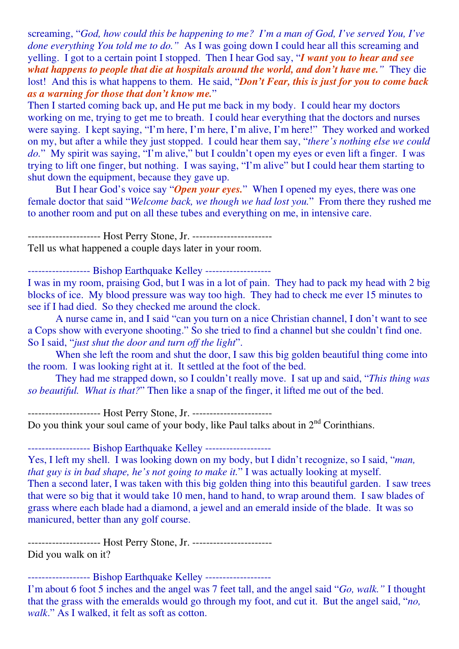screaming, "*God, how could this be happening to me? I'm a man of God, I've served You, I've done everything You told me to do."* As I was going down I could hear all this screaming and yelling. I got to a certain point I stopped. Then I hear God say, "*I want you to hear and see what happens to people that die at hospitals around the world, and don't have me."* They die lost! And this is what happens to them. He said, "*Don't Fear, this is just for you to come back as a warning for those that don't know me.*"

Then I started coming back up, and He put me back in my body. I could hear my doctors working on me, trying to get me to breath. I could hear everything that the doctors and nurses were saying. I kept saying, "I'm here, I'm here, I'm alive, I'm here!" They worked and worked on my, but after a while they just stopped. I could hear them say, "*there's nothing else we could*  do." My spirit was saying, "I'm alive," but I couldn't open my eyes or even lift a finger. I was trying to lift one finger, but nothing. I was saying, "I'm alive" but I could hear them starting to shut down the equipment, because they gave up.

 But I hear God's voice say "*Open your eyes.*" When I opened my eyes, there was one female doctor that said "*Welcome back, we though we had lost you.*" From there they rushed me to another room and put on all these tubes and everything on me, in intensive care.

------------------ Host Perry Stone, Jr. -------------------------Tell us what happened a couple days later in your room.

------------------ Bishop Earthquake Kelley -------------------

I was in my room, praising God, but I was in a lot of pain. They had to pack my head with 2 big blocks of ice. My blood pressure was way too high. They had to check me ever 15 minutes to see if I had died. So they checked me around the clock.

 A nurse came in, and I said "can you turn on a nice Christian channel, I don't want to see a Cops show with everyone shooting." So she tried to find a channel but she couldn't find one. So I said, "*just shut the door and turn off the light*".

When she left the room and shut the door, I saw this big golden beautiful thing come into the room. I was looking right at it. It settled at the foot of the bed.

 They had me strapped down, so I couldn't really move. I sat up and said, "*This thing was so beautiful. What is that?*" Then like a snap of the finger, it lifted me out of the bed.

--------------------- Host Perry Stone, Jr. ----------------------- Do you think your soul came of your body, like Paul talks about in 2<sup>nd</sup> Corinthians.

------------------ Bishop Earthquake Kelley -------------------

Yes, I left my shell. I was looking down on my body, but I didn't recognize, so I said, "*man, that guy is in bad shape, he's not going to make it.*" I was actually looking at myself. Then a second later, I was taken with this big golden thing into this beautiful garden. I saw trees that were so big that it would take 10 men, hand to hand, to wrap around them. I saw blades of grass where each blade had a diamond, a jewel and an emerald inside of the blade. It was so manicured, better than any golf course.

--------------------- Host Perry Stone, Jr. ----------------------- Did you walk on it?

------------------ Bishop Earthquake Kelley -------------------

I'm about 6 foot 5 inches and the angel was 7 feet tall, and the angel said "*Go, walk."* I thought that the grass with the emeralds would go through my foot, and cut it. But the angel said, "*no, walk*." As I walked, it felt as soft as cotton.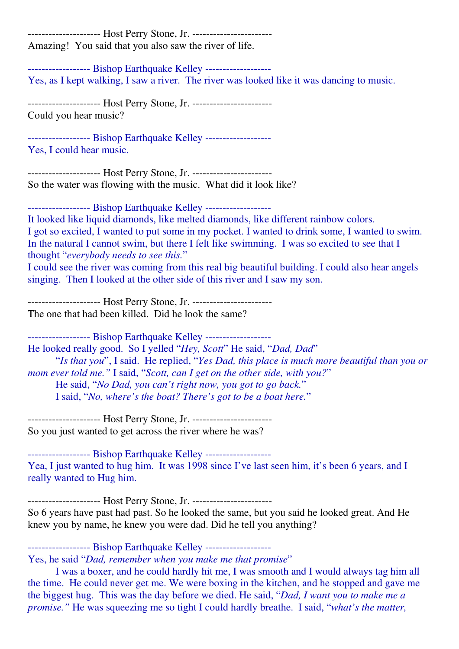--------------------- Host Perry Stone, Jr. ------------------------Amazing! You said that you also saw the river of life. ------------------ Bishop Earthquake Kelley ------------------- Yes, as I kept walking, I saw a river. The river was looked like it was dancing to music. --------------------- Host Perry Stone, Jr. ----------------------- Could you hear music? ------------------ Bishop Earthquake Kelley ------------------- Yes, I could hear music. --------------------- Host Perry Stone, Jr. ----------------------- So the water was flowing with the music. What did it look like? ------------------ Bishop Earthquake Kelley ------------------- It looked like liquid diamonds, like melted diamonds, like different rainbow colors. I got so excited, I wanted to put some in my pocket. I wanted to drink some, I wanted to swim. In the natural I cannot swim, but there I felt like swimming. I was so excited to see that I thought "*everybody needs to see this.*" I could see the river was coming from this real big beautiful building. I could also hear angels singing. Then I looked at the other side of this river and I saw my son. --------------------- Host Perry Stone, Jr. ----------------------- The one that had been killed. Did he look the same? ------------------ Bishop Earthquake Kelley ------------------- He looked really good. So I yelled "*Hey, Scott*" He said, "*Dad, Dad*" "*Is that you*", I said. He replied, "*Yes Dad, this place is much more beautiful than you or mom ever told me."* I said, "*Scott, can I get on the other side, with you?*" He said, "*No Dad, you can't right now, you got to go back.*" I said, "*No, where's the boat? There's got to be a boat here.*" --------------------- Host Perry Stone, Jr. ----------------------- So you just wanted to get across the river where he was? ------------------ Bishop Earthquake Kelley ------------------- Yea, I just wanted to hug him. It was 1998 since I've last seen him, it's been 6 years, and I really wanted to Hug him. --------------------- Host Perry Stone, Jr. ----------------------- So 6 years have past had past. So he looked the same, but you said he looked great. And He knew you by name, he knew you were dad. Did he tell you anything? ------------------ Bishop Earthquake Kelley -------------------

Yes, he said "*Dad, remember when you make me that promise*"

 I was a boxer, and he could hardly hit me, I was smooth and I would always tag him all the time. He could never get me. We were boxing in the kitchen, and he stopped and gave me the biggest hug. This was the day before we died. He said, "*Dad, I want you to make me a promise."* He was squeezing me so tight I could hardly breathe. I said, "*what's the matter,*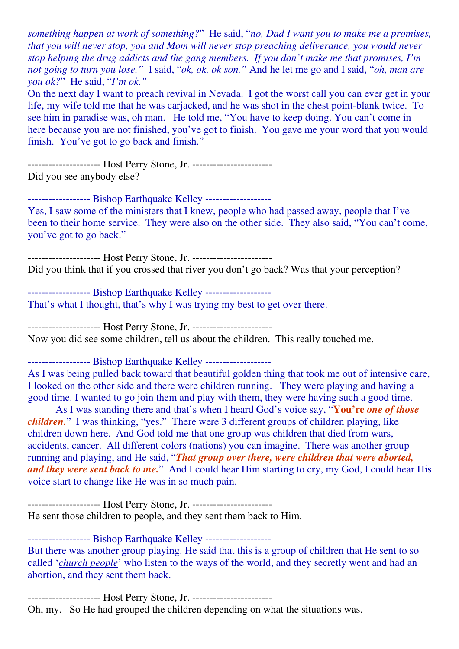*something happen at work of something?*" He said, "*no, Dad I want you to make me a promises, that you will never stop, you and Mom will never stop preaching deliverance, you would never stop helping the drug addicts and the gang members. If you don't make me that promises, I'm not going to turn you lose."* I said, "*ok, ok, ok son."* And he let me go and I said, "*oh, man are you ok?*" He said, "*I'm ok."* 

On the next day I want to preach revival in Nevada. I got the worst call you can ever get in your life, my wife told me that he was carjacked, and he was shot in the chest point-blank twice. To see him in paradise was, oh man. He told me, "You have to keep doing. You can't come in here because you are not finished, you've got to finish. You gave me your word that you would finish. You've got to go back and finish."

--------------------- Host Perry Stone, Jr. ----------------------- Did you see anybody else?

------------------ Bishop Earthquake Kelley -------------------

Yes, I saw some of the ministers that I knew, people who had passed away, people that I've been to their home service. They were also on the other side. They also said, "You can't come, you've got to go back."

--------------------- Host Perry Stone, Jr. ----------------------- Did you think that if you crossed that river you don't go back? Was that your perception?

------------------ Bishop Earthquake Kelley ------------------- That's what I thought, that's why I was trying my best to get over there.

--------------------- Host Perry Stone, Jr. ----------------------- Now you did see some children, tell us about the children. This really touched me.

------------------ Bishop Earthquake Kelley -------------------

As I was being pulled back toward that beautiful golden thing that took me out of intensive care, I looked on the other side and there were children running. They were playing and having a good time. I wanted to go join them and play with them, they were having such a good time.

 As I was standing there and that's when I heard God's voice say, "**You're** *one of those children.*" I was thinking, "yes." There were 3 different groups of children playing, like children down here. And God told me that one group was children that died from wars, accidents, cancer. All different colors (nations) you can imagine. There was another group running and playing, and He said, "*That group over there, were children that were aborted, and they were sent back to me.*" And I could hear Him starting to cry, my God, I could hear His voice start to change like He was in so much pain.

--------------------- Host Perry Stone, Jr. ----------------------- He sent those children to people, and they sent them back to Him.

------------------ Bishop Earthquake Kelley -------------------

But there was another group playing. He said that this is a group of children that He sent to so called '*church people*' who listen to the ways of the world, and they secretly went and had an abortion, and they sent them back.

--------------------- Host Perry Stone, Jr. -----------------------

Oh, my. So He had grouped the children depending on what the situations was.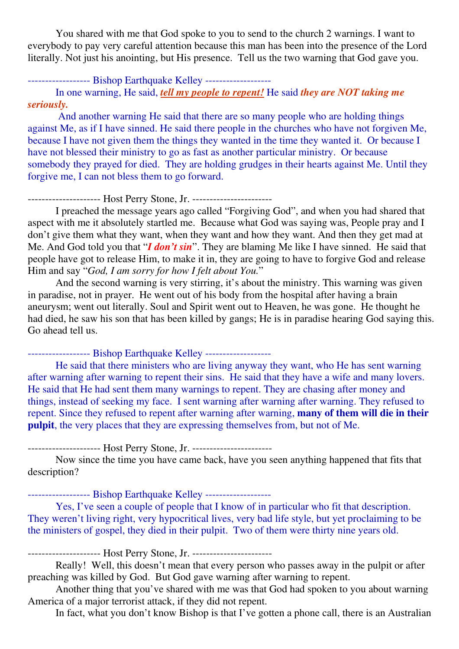You shared with me that God spoke to you to send to the church 2 warnings. I want to everybody to pay very careful attention because this man has been into the presence of the Lord literally. Not just his anointing, but His presence. Tell us the two warning that God gave you.

------------------ Bishop Earthquake Kelley -------------------

 In one warning, He said, *tell my people to repent!* He said *they are NOT taking me seriously.*

 And another warning He said that there are so many people who are holding things against Me, as if I have sinned. He said there people in the churches who have not forgiven Me, because I have not given them the things they wanted in the time they wanted it. Or because I have not blessed their ministry to go as fast as another particular ministry. Or because somebody they prayed for died. They are holding grudges in their hearts against Me. Until they forgive me, I can not bless them to go forward.

--------------------- Host Perry Stone, Jr. -----------------------

 I preached the message years ago called "Forgiving God", and when you had shared that aspect with me it absolutely startled me. Because what God was saying was, People pray and I don't give them what they want, when they want and how they want. And then they get mad at Me. And God told you that "*I don't sin*". They are blaming Me like I have sinned. He said that people have got to release Him, to make it in, they are going to have to forgive God and release Him and say "*God, I am sorry for how I felt about You.*"

 And the second warning is very stirring, it's about the ministry. This warning was given in paradise, not in prayer. He went out of his body from the hospital after having a brain aneurysm; went out literally. Soul and Spirit went out to Heaven, he was gone. He thought he had died, he saw his son that has been killed by gangs; He is in paradise hearing God saying this. Go ahead tell us.

------------------ Bishop Earthquake Kelley -------------------

 He said that there ministers who are living anyway they want, who He has sent warning after warning after warning to repent their sins. He said that they have a wife and many lovers. He said that He had sent them many warnings to repent. They are chasing after money and things, instead of seeking my face. I sent warning after warning after warning. They refused to repent. Since they refused to repent after warning after warning, **many of them will die in their pulpit**, the very places that they are expressing themselves from, but not of Me.

--------------------- Host Perry Stone, Jr. -----------------------

 Now since the time you have came back, have you seen anything happened that fits that description?

------------------ Bishop Earthquake Kelley -------------------

 Yes, I've seen a couple of people that I know of in particular who fit that description. They weren't living right, very hypocritical lives, very bad life style, but yet proclaiming to be the ministers of gospel, they died in their pulpit. Two of them were thirty nine years old.

--------------------- Host Perry Stone, Jr. -----------------------

 Really! Well, this doesn't mean that every person who passes away in the pulpit or after preaching was killed by God. But God gave warning after warning to repent.

 Another thing that you've shared with me was that God had spoken to you about warning America of a major terrorist attack, if they did not repent.

In fact, what you don't know Bishop is that I've gotten a phone call, there is an Australian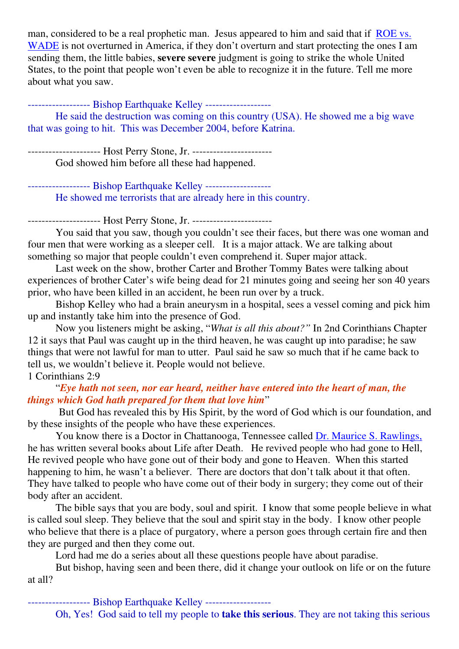man, considered to be a real prophetic man. Jesus appeared to him and said that if ROE vs. WADE is not overturned in America, if they don't overturn and start protecting the ones I am sending them, the little babies, **severe severe** judgment is going to strike the whole United States, to the point that people won't even be able to recognize it in the future. Tell me more about what you saw.

------------------ Bishop Earthquake Kelley -------------------

 He said the destruction was coming on this country (USA). He showed me a big wave that was going to hit. This was December 2004, before Katrina.

--------------------- Host Perry Stone, Jr. ----------------------- God showed him before all these had happened.

------------------- Bishop Earthquake Kelley --------------------He showed me terrorists that are already here in this country.

--------------------- Host Perry Stone, Jr. -----------------------

 You said that you saw, though you couldn't see their faces, but there was one woman and four men that were working as a sleeper cell. It is a major attack. We are talking about something so major that people couldn't even comprehend it. Super major attack.

 Last week on the show, brother Carter and Brother Tommy Bates were talking about experiences of brother Cater's wife being dead for 21 minutes going and seeing her son 40 years prior, who have been killed in an accident, he been run over by a truck.

 Bishop Kelley who had a brain aneurysm in a hospital, sees a vessel coming and pick him up and instantly take him into the presence of God.

 Now you listeners might be asking, "*What is all this about?"* In 2nd Corinthians Chapter 12 it says that Paul was caught up in the third heaven, he was caught up into paradise; he saw things that were not lawful for man to utter. Paul said he saw so much that if he came back to tell us, we wouldn't believe it. People would not believe. 1 Corinthians 2:9

## "*Eye hath not seen, nor ear heard, neither have entered into the heart of man, the things which God hath prepared for them that love him*"

 But God has revealed this by His Spirit, by the word of God which is our foundation, and by these insights of the people who have these experiences.

 You know there is a Doctor in Chattanooga, Tennessee called Dr. Maurice S. Rawlings, he has written several books about Life after Death. He revived people who had gone to Hell, He revived people who have gone out of their body and gone to Heaven. When this started happening to him, he wasn't a believer. There are doctors that don't talk about it that often. They have talked to people who have come out of their body in surgery; they come out of their body after an accident.

 The bible says that you are body, soul and spirit. I know that some people believe in what is called soul sleep. They believe that the soul and spirit stay in the body. I know other people who believe that there is a place of purgatory, where a person goes through certain fire and then they are purged and then they come out.

Lord had me do a series about all these questions people have about paradise.

 But bishop, having seen and been there, did it change your outlook on life or on the future at all?

------------------ Bishop Earthquake Kelley -------------------

Oh, Yes! God said to tell my people to **take this serious**. They are not taking this serious